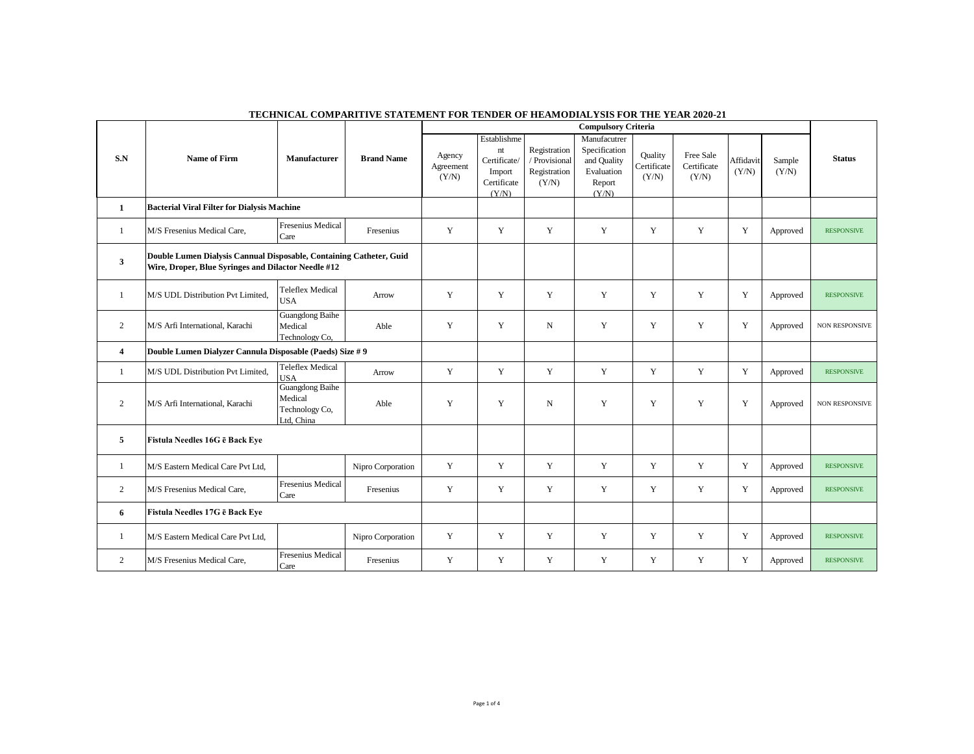|                         | <b>Name of Firm</b>                                                                                                        |                                                            |                   |                              |                                                                     |                                                        | <b>Compulsory Criteria</b>                                                    |                                 |                                   |                    |                 |                       |
|-------------------------|----------------------------------------------------------------------------------------------------------------------------|------------------------------------------------------------|-------------------|------------------------------|---------------------------------------------------------------------|--------------------------------------------------------|-------------------------------------------------------------------------------|---------------------------------|-----------------------------------|--------------------|-----------------|-----------------------|
| S.N                     |                                                                                                                            | <b>Manufacturer</b>                                        | <b>Brand Name</b> | Agency<br>Agreement<br>(Y/N) | Establishme<br>nt<br>Certificate/<br>Import<br>Certificate<br>(Y/N) | Registration<br>/ Provisional<br>Registration<br>(Y/N) | Manufacutrer<br>Specification<br>and Quality<br>Evaluation<br>Report<br>(Y/N) | Quality<br>Certificate<br>(Y/N) | Free Sale<br>Certificate<br>(Y/N) | Affidavit<br>(Y/N) | Sample<br>(Y/N) | <b>Status</b>         |
| 1                       | <b>Bacterial Viral Filter for Dialysis Machine</b>                                                                         |                                                            |                   |                              |                                                                     |                                                        |                                                                               |                                 |                                   |                    |                 |                       |
| $\mathbf{1}$            | M/S Fresenius Medical Care,                                                                                                | <b>Fresenius Medical</b><br>Care                           | Fresenius         | Y                            | Y                                                                   | Y                                                      | Y                                                                             | Y                               | Y                                 | Y                  | Approved        | <b>RESPONSIVE</b>     |
| 3                       | Double Lumen Dialysis Cannual Disposable, Containing Catheter, Guid<br>Wire, Droper, Blue Syringes and Dilactor Needle #12 |                                                            |                   |                              |                                                                     |                                                        |                                                                               |                                 |                                   |                    |                 |                       |
| 1                       | M/S UDL Distribution Pvt Limited.                                                                                          | <b>Teleflex Medical</b><br><b>USA</b>                      | Arrow             | Y                            | Y                                                                   | Y                                                      | Y                                                                             | Y                               | Y                                 | Y                  | Approved        | <b>RESPONSIVE</b>     |
| 2                       | M/S Arfi International, Karachi                                                                                            | Guangdong Baihe<br>Medical<br>Technology Co,               | Able              | Y                            | Y                                                                   | $_{\rm N}$                                             | Y                                                                             | Y                               | Y                                 | Y                  | Approved        | <b>NON RESPONSIVE</b> |
| $\overline{\mathbf{4}}$ | Double Lumen Dialyzer Cannula Disposable (Paeds) Size # 9                                                                  |                                                            |                   |                              |                                                                     |                                                        |                                                                               |                                 |                                   |                    |                 |                       |
| $\mathbf{1}$            | M/S UDL Distribution Pvt Limited,                                                                                          | <b>Teleflex Medical</b><br><b>USA</b>                      | Arrow             | Y                            | Y                                                                   | Y                                                      | Y                                                                             | Y                               | Y                                 | Y                  | Approved        | <b>RESPONSIVE</b>     |
| $\mathfrak{2}$          | M/S Arfi International, Karachi                                                                                            | Guangdong Baihe<br>Medical<br>Technology Co,<br>Ltd, China | Able              | Y                            | Y                                                                   | $_{\rm N}$                                             | Y                                                                             | Y                               | Y                                 | Y                  | Approved        | <b>NON RESPONSIVE</b> |
| 5                       | Fistula Needles 16G ē Back Eye                                                                                             |                                                            |                   |                              |                                                                     |                                                        |                                                                               |                                 |                                   |                    |                 |                       |
| $\mathbf{1}$            | M/S Eastern Medical Care Pvt Ltd,                                                                                          |                                                            | Nipro Corporation | Y                            | Y                                                                   | Y                                                      | Y                                                                             | Y                               | Y                                 | Y                  | Approved        | <b>RESPONSIVE</b>     |
| $\overline{2}$          | M/S Fresenius Medical Care,                                                                                                | <b>Fresenius Medical</b><br>Care                           | Fresenius         | Y                            | Y                                                                   | Y                                                      | Y                                                                             | Y                               | Y                                 | Y                  | Approved        | <b>RESPONSIVE</b>     |
| 6                       | Fistula Needles 17G ē Back Eye                                                                                             |                                                            |                   |                              |                                                                     |                                                        |                                                                               |                                 |                                   |                    |                 |                       |
| 1                       | M/S Eastern Medical Care Pvt Ltd,                                                                                          |                                                            | Nipro Corporation | Y                            | Y                                                                   | Y                                                      | Y                                                                             | Y                               | Y                                 | Y                  | Approved        | <b>RESPONSIVE</b>     |
| 2                       | M/S Fresenius Medical Care,                                                                                                | <b>Fresenius Medical</b><br>Care                           | Fresenius         | Y                            | Y                                                                   | Y                                                      | Y                                                                             | Y                               | Y                                 | Y                  | Approved        | <b>RESPONSIVE</b>     |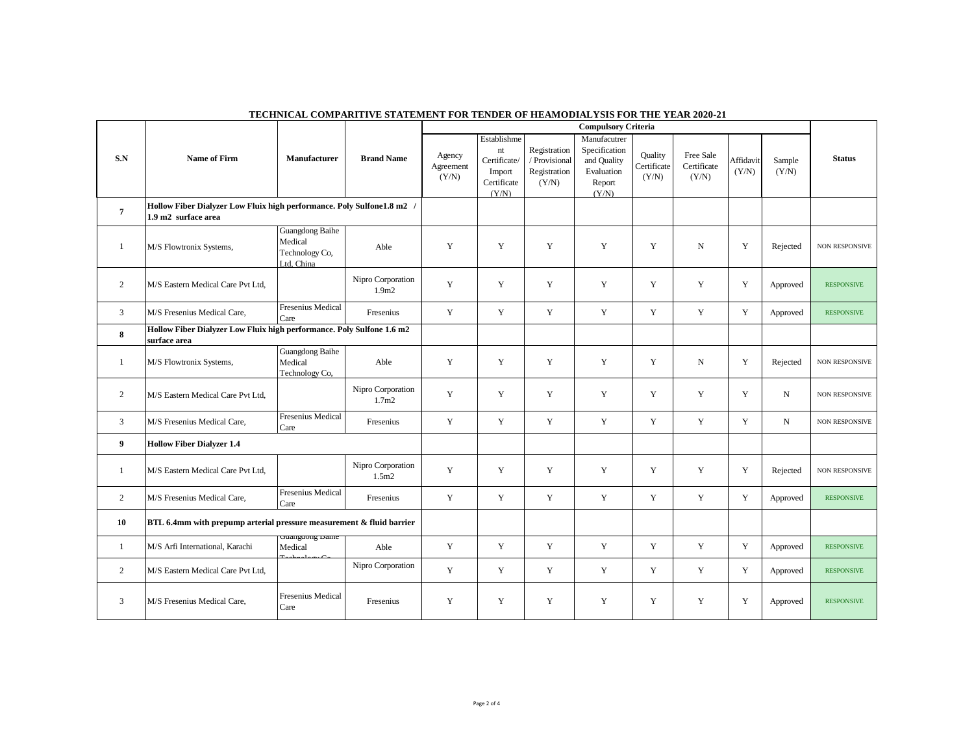|                | <b>Name of Firm</b>                                                                           |                                                            |                                        |                              |                                                                     |                                                        | <b>Compulsory Criteria</b>                                                    |                                        |                                   |                    |                 |                       |
|----------------|-----------------------------------------------------------------------------------------------|------------------------------------------------------------|----------------------------------------|------------------------------|---------------------------------------------------------------------|--------------------------------------------------------|-------------------------------------------------------------------------------|----------------------------------------|-----------------------------------|--------------------|-----------------|-----------------------|
| S.N            |                                                                                               | <b>Manufacturer</b>                                        | <b>Brand Name</b>                      | Agency<br>Agreement<br>(Y/N) | Establishme<br>nt<br>Certificate/<br>Import<br>Certificate<br>(Y/N) | Registration<br>/ Provisional<br>Registration<br>(Y/N) | Manufacutrer<br>Specification<br>and Quality<br>Evaluation<br>Report<br>(Y/N) | <b>Quality</b><br>Certificate<br>(Y/N) | Free Sale<br>Certificate<br>(Y/N) | Affidavit<br>(Y/N) | Sample<br>(Y/N) | <b>Status</b>         |
| $\overline{7}$ | Hollow Fiber Dialyzer Low Fluix high performance. Poly Sulfone1.8 m2 /<br>1.9 m2 surface area |                                                            |                                        |                              |                                                                     |                                                        |                                                                               |                                        |                                   |                    |                 |                       |
| 1              | M/S Flowtronix Systems,                                                                       | Guangdong Baihe<br>Medical<br>Technology Co,<br>Ltd, China | Able                                   | Y                            | Y                                                                   | Y                                                      | Y                                                                             | Y                                      | $\mathbf N$                       | Y                  | Rejected        | <b>NON RESPONSIVE</b> |
| 2              | M/S Eastern Medical Care Pvt Ltd,                                                             |                                                            | Nipro Corporation<br>1.9 <sub>m2</sub> | Y                            | Y                                                                   | Y                                                      | Y                                                                             | Y                                      | Y                                 | Y                  | Approved        | <b>RESPONSIVE</b>     |
| $\mathfrak{Z}$ | M/S Fresenius Medical Care,                                                                   | <b>Fresenius Medical</b><br>Care                           | Fresenius                              | Y                            | $\mathbf Y$                                                         | Y                                                      | Y                                                                             | Y                                      | Y                                 | Y                  | Approved        | <b>RESPONSIVE</b>     |
| 8              | Hollow Fiber Dialyzer Low Fluix high performance. Poly Sulfone 1.6 m2<br>surface area         |                                                            |                                        |                              |                                                                     |                                                        |                                                                               |                                        |                                   |                    |                 |                       |
| 1              | M/S Flowtronix Systems,                                                                       | Guangdong Baihe<br>Medical<br>Technology Co,               | Able                                   | Y                            | $\mathbf Y$                                                         | Y                                                      | $\mathbf Y$                                                                   | Y                                      | N                                 | Y                  | Rejected        | <b>NON RESPONSIVE</b> |
| $\overline{2}$ | M/S Eastern Medical Care Pvt Ltd,                                                             |                                                            | Nipro Corporation<br>1.7 <sub>m2</sub> | Y                            | Y                                                                   | Y                                                      | Y                                                                             | Y                                      | Y                                 | Y                  | $\mathbf N$     | <b>NON RESPONSIVE</b> |
| $\mathfrak{Z}$ | M/S Fresenius Medical Care,                                                                   | <b>Fresenius Medical</b><br>Care                           | Fresenius                              | Y                            | $\mathbf Y$                                                         | Y                                                      | Y                                                                             | Y                                      | Y                                 | Y                  | $\mathbf N$     | <b>NON RESPONSIVE</b> |
| 9              | <b>Hollow Fiber Dialyzer 1.4</b>                                                              |                                                            |                                        |                              |                                                                     |                                                        |                                                                               |                                        |                                   |                    |                 |                       |
| 1              | M/S Eastern Medical Care Pvt Ltd,                                                             |                                                            | Nipro Corporation<br>1.5m2             | $\mathbf Y$                  | $\mathbf Y$                                                         | $\mathbf Y$                                            | $\mathbf Y$                                                                   | $\mathbf Y$                            | Y                                 | $\mathbf Y$        | Rejected        | <b>NON RESPONSIVE</b> |
| $\overline{2}$ | M/S Fresenius Medical Care,                                                                   | <b>Fresenius Medical</b><br>Care                           | Fresenius                              | $\mathbf Y$                  | $\mathbf Y$                                                         | $\mathbf Y$                                            | $\mathbf Y$                                                                   | Y                                      | Y                                 | Y                  | Approved        | <b>RESPONSIVE</b>     |
| 10             | BTL 6.4mm with prepump arterial pressure measurement & fluid barrier                          |                                                            |                                        |                              |                                                                     |                                                        |                                                                               |                                        |                                   |                    |                 |                       |
| -1             | M/S Arfi International, Karachi                                                               | Juanguong Dame<br>Medical                                  | Able                                   | Y                            | Y                                                                   | Y                                                      | Y                                                                             | Y                                      | Y                                 | Y                  | Approved        | <b>RESPONSIVE</b>     |
| $\overline{2}$ | M/S Eastern Medical Care Pvt Ltd,                                                             |                                                            | Nipro Corporation                      | Y                            | Y                                                                   | Y                                                      | Y                                                                             | Y                                      | Y                                 | Y                  | Approved        | <b>RESPONSIVE</b>     |
| 3              | M/S Fresenius Medical Care,                                                                   | Fresenius Medical<br>Care                                  | Fresenius                              | Y                            | Y                                                                   | Y                                                      | Y                                                                             | Y                                      | Y                                 | Y                  | Approved        | <b>RESPONSIVE</b>     |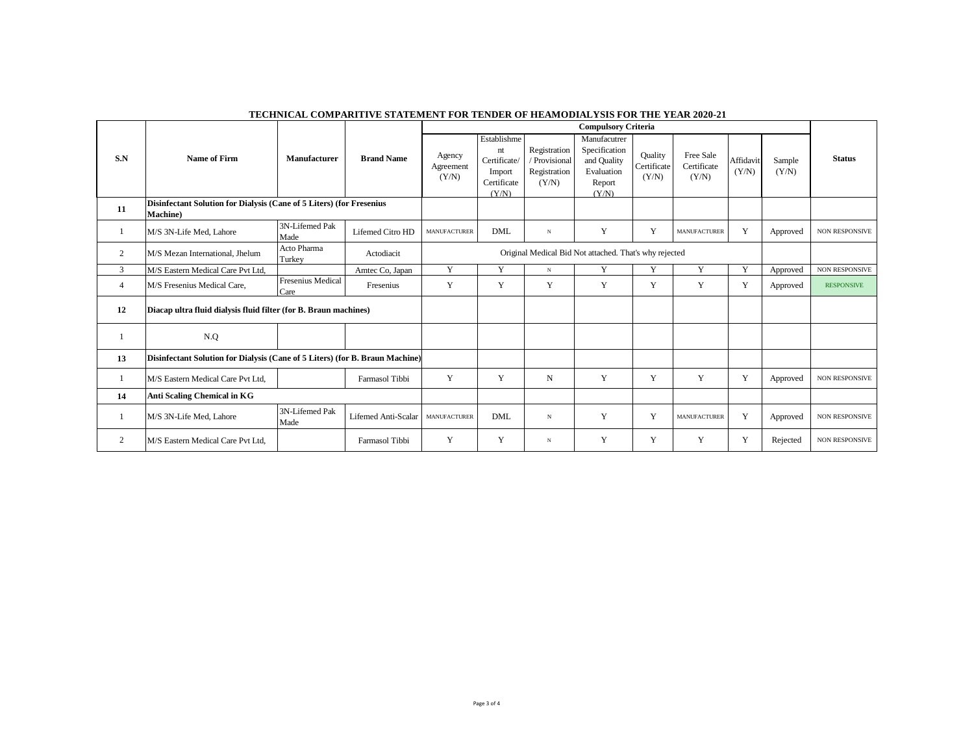|                |                                                                                  |                                  |                     |                                                        |                                                                     |                                                        | <b>Compulsory Criteria</b>                                                    |                                 |                                   |                    |                 |                       |
|----------------|----------------------------------------------------------------------------------|----------------------------------|---------------------|--------------------------------------------------------|---------------------------------------------------------------------|--------------------------------------------------------|-------------------------------------------------------------------------------|---------------------------------|-----------------------------------|--------------------|-----------------|-----------------------|
| S.N            | Name of Firm                                                                     | Manufacturer                     | <b>Brand Name</b>   | Agency<br>Agreement<br>(Y/N)                           | Establishme<br>nt<br>Certificate/<br>Import<br>Certificate<br>(Y/N) | Registration<br>/ Provisional<br>Registration<br>(Y/N) | Manufacutrer<br>Specification<br>and Quality<br>Evaluation<br>Report<br>(Y/N) | Quality<br>Certificate<br>(Y/N) | Free Sale<br>Certificate<br>(Y/N) | Affidavit<br>(Y/N) | Sample<br>(Y/N) | <b>Status</b>         |
| 11             | Disinfectant Solution for Dialysis (Cane of 5 Liters) (for Fresenius<br>Machine) |                                  |                     |                                                        |                                                                     |                                                        |                                                                               |                                 |                                   |                    |                 |                       |
|                | M/S 3N-Life Med, Lahore                                                          | 3N-Lifemed Pak<br>Made           | Lifemed Citro HD    | <b>MANUFACTURER</b>                                    | <b>DML</b>                                                          | $_{\rm N}$                                             | Y                                                                             | Y                               | <b>MANUFACTURER</b>               | Y                  | Approved        | <b>NON RESPONSIVE</b> |
| 2              | M/S Mezan International, Jhelum                                                  | Acto Pharma<br>Turkey            | Actodiacit          | Original Medical Bid Not attached. That's why rejected |                                                                     |                                                        |                                                                               |                                 |                                   |                    |                 |                       |
| 3              | M/S Eastern Medical Care Pvt Ltd,                                                |                                  | Amtec Co, Japan     | Y                                                      | Y                                                                   | $_{\rm N}$                                             | Y                                                                             | Y                               | Y                                 | Y                  | Approved        | <b>NON RESPONSIVE</b> |
| $\overline{4}$ | M/S Fresenius Medical Care,                                                      | <b>Fresenius Medical</b><br>Care | Fresenius           | Y                                                      | Y                                                                   | Y                                                      | Y                                                                             | Y                               | Y                                 | Y                  | Approved        | <b>RESPONSIVE</b>     |
| 12             | Diacap ultra fluid dialysis fluid filter (for B. Braun machines)                 |                                  |                     |                                                        |                                                                     |                                                        |                                                                               |                                 |                                   |                    |                 |                       |
|                | N.Q                                                                              |                                  |                     |                                                        |                                                                     |                                                        |                                                                               |                                 |                                   |                    |                 |                       |
| 13             | Disinfectant Solution for Dialysis (Cane of 5 Liters) (for B. Braun Machine)     |                                  |                     |                                                        |                                                                     |                                                        |                                                                               |                                 |                                   |                    |                 |                       |
|                | M/S Eastern Medical Care Pvt Ltd.                                                |                                  | Farmasol Tibbi      | Y                                                      | Y                                                                   | N                                                      | Y                                                                             | Y                               | Y                                 | Y                  | Approved        | <b>NON RESPONSIVE</b> |
| 14             | <b>Anti Scaling Chemical in KG</b>                                               |                                  |                     |                                                        |                                                                     |                                                        |                                                                               |                                 |                                   |                    |                 |                       |
|                | M/S 3N-Life Med, Lahore                                                          | 3N-Lifemed Pak<br>Made           | Lifemed Anti-Scalar | <b>MANUFACTURER</b>                                    | <b>DML</b>                                                          | N                                                      | Y                                                                             | Y                               | <b>MANUFACTURER</b>               | Y                  | Approved        | <b>NON RESPONSIVE</b> |
| 2              | M/S Eastern Medical Care Pvt Ltd,                                                |                                  | Farmasol Tibbi      | Y                                                      | Y                                                                   | $_{\rm N}$                                             | Y                                                                             | Y                               | Y                                 | Y                  | Rejected        | <b>NON RESPONSIVE</b> |